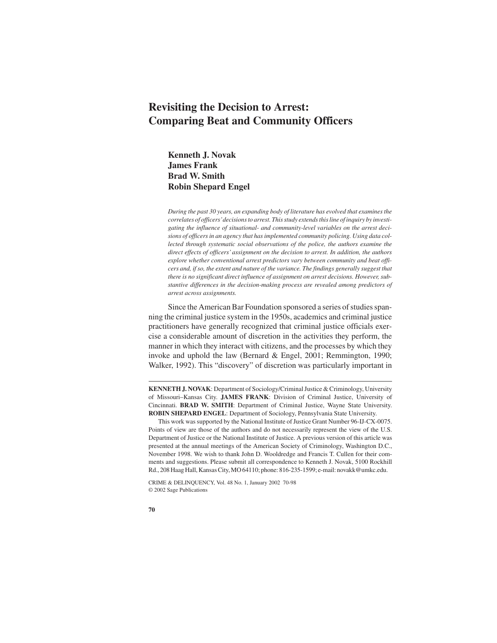# **Revisiting the Decision to Arrest: Comparing Beat and Community Officers**

**Kenneth J. Novak James Frank Brad W. Smith Robin Shepard Engel**

*During the past 30 years, an expanding body of literature has evolved that examines the correlates of officers'decisions to arrest. This study extends this line of inquiry by investi*gating the influence of situational- and community-level variables on the arrest decisions of officers in an agency that has implemented community policing. Using data col*lected through systematic social observations of the police, the authors examine the direct effects of officers' assignment on the decision to arrest. In addition, the authors explore whether conventional arrest predictors vary between community and beat officers and, if so, the extent and nature of the variance. The findings generally suggest that there is no significant direct influence of assignment on arrest decisions. However, substantive differences in the decision-making process are revealed among predictors of arrest across assignments.*

Since the American Bar Foundation sponsored a series of studies spanning the criminal justice system in the 1950s, academics and criminal justice practitioners have generally recognized that criminal justice officials exercise a considerable amount of discretion in the activities they perform, the manner in which they interact with citizens, and the processes by which they invoke and uphold the law (Bernard & Engel, 2001; Remmington, 1990; Walker, 1992). This "discovery" of discretion was particularly important in

**KENNETH J. NOVAK**: Department of Sociology/Criminal Justice & Criminology, University of Missouri–Kansas City. **JAMES FRANK**: Division of Criminal Justice, University of Cincinnati. **BRAD W. SMITH**: Department of Criminal Justice, Wayne State University. **ROBIN SHEPARD ENGEL**: Department of Sociology, Pennsylvania State University.

This work was supported by the National Institute of Justice Grant Number 96-IJ-CX-0075. Points of view are those of the authors and do not necessarily represent the view of the U.S. Department of Justice or the National Institute of Justice. A previous version of this article was presented at the annual meetings of the American Society of Criminology, Washington D.C., November 1998. We wish to thank John D. Wooldredge and Francis T. Cullen for their comments and suggestions. Please submit all correspondence to Kenneth J. Novak, 5100 Rockhill Rd., 208 Haag Hall, Kansas City, MO 64110; phone: 816-235-1599; e-mail: novakk@umkc.edu.

CRIME & DELINQUENCY, Vol. 48 No. 1, January 2002 70-98 © 2002 Sage Publications

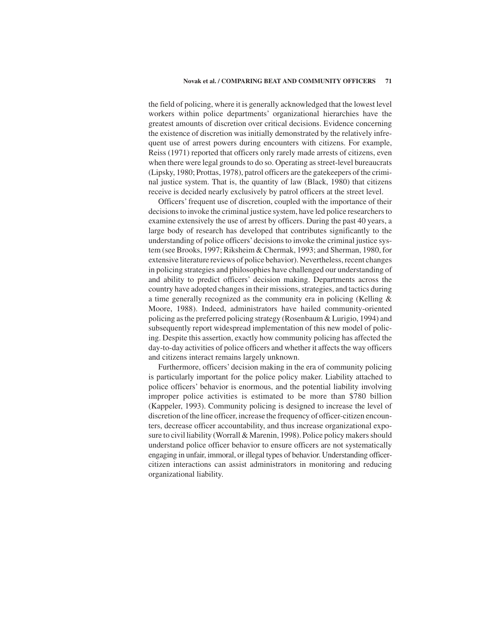the field of policing, where it is generally acknowledged that the lowest level workers within police departments' organizational hierarchies have the greatest amounts of discretion over critical decisions. Evidence concerning the existence of discretion was initially demonstrated by the relatively infrequent use of arrest powers during encounters with citizens. For example, Reiss (1971) reported that officers only rarely made arrests of citizens, even when there were legal grounds to do so. Operating as street-level bureaucrats (Lipsky, 1980; Prottas, 1978), patrol officers are the gatekeepers of the criminal justice system. That is, the quantity of law (Black, 1980) that citizens receive is decided nearly exclusively by patrol officers at the street level.

Officers' frequent use of discretion, coupled with the importance of their decisions to invoke the criminal justice system, have led police researchers to examine extensively the use of arrest by officers. During the past 40 years, a large body of research has developed that contributes significantly to the understanding of police officers'decisions to invoke the criminal justice system (see Brooks, 1997; Riksheim & Chermak, 1993; and Sherman, 1980, for extensive literature reviews of police behavior). Nevertheless, recent changes in policing strategies and philosophies have challenged our understanding of and ability to predict officers' decision making. Departments across the country have adopted changes in their missions, strategies, and tactics during a time generally recognized as the community era in policing (Kelling & Moore, 1988). Indeed, administrators have hailed community-oriented policing as the preferred policing strategy (Rosenbaum & Lurigio, 1994) and subsequently report widespread implementation of this new model of policing. Despite this assertion, exactly how community policing has affected the day-to-day activities of police officers and whether it affects the way officers and citizens interact remains largely unknown.

Furthermore, officers' decision making in the era of community policing is particularly important for the police policy maker. Liability attached to police officers' behavior is enormous, and the potential liability involving improper police activities is estimated to be more than \$780 billion (Kappeler, 1993). Community policing is designed to increase the level of discretion of the line officer, increase the frequency of officer-citizen encounters, decrease officer accountability, and thus increase organizational exposure to civil liability (Worrall & Marenin, 1998). Police policy makers should understand police officer behavior to ensure officers are not systematically engaging in unfair, immoral, or illegal types of behavior. Understanding officercitizen interactions can assist administrators in monitoring and reducing organizational liability.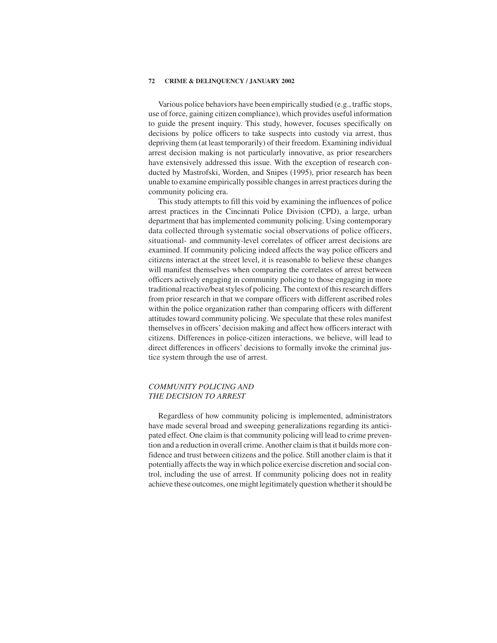Various police behaviors have been empirically studied (e.g., traffic stops, use of force, gaining citizen compliance), which provides useful information to guide the present inquiry. This study, however, focuses specifically on decisions by police officers to take suspects into custody via arrest, thus depriving them (at least temporarily) of their freedom. Examining individual arrest decision making is not particularly innovative, as prior researchers have extensively addressed this issue. With the exception of research conducted by Mastrofski, Worden, and Snipes (1995), prior research has been unable to examine empirically possible changes in arrest practices during the community policing era.

This study attempts to fill this void by examining the influences of police arrest practices in the Cincinnati Police Division (CPD), a large, urban department that has implemented community policing. Using contemporary data collected through systematic social observations of police officers, situational- and community-level correlates of officer arrest decisions are examined. If community policing indeed affects the way police officers and citizens interact at the street level, it is reasonable to believe these changes will manifest themselves when comparing the correlates of arrest between officers actively engaging in community policing to those engaging in more traditional reactive/beat styles of policing. The context of this research differs from prior research in that we compare officers with different ascribed roles within the police organization rather than comparing officers with different attitudes toward community policing. We speculate that these roles manifest themselves in officers' decision making and affect how officers interact with citizens. Differences in police-citizen interactions, we believe, will lead to direct differences in officers' decisions to formally invoke the criminal justice system through the use of arrest.

# *COMMUNITY POLICING AND THE DECISION TO ARREST*

Regardless of how community policing is implemented, administrators have made several broad and sweeping generalizations regarding its anticipated effect. One claim is that community policing will lead to crime prevention and a reduction in overall crime. Another claim is that it builds more confidence and trust between citizens and the police. Still another claim is that it potentially affects the way in which police exercise discretion and social control, including the use of arrest. If community policing does not in reality achieve these outcomes, one might legitimately question whether it should be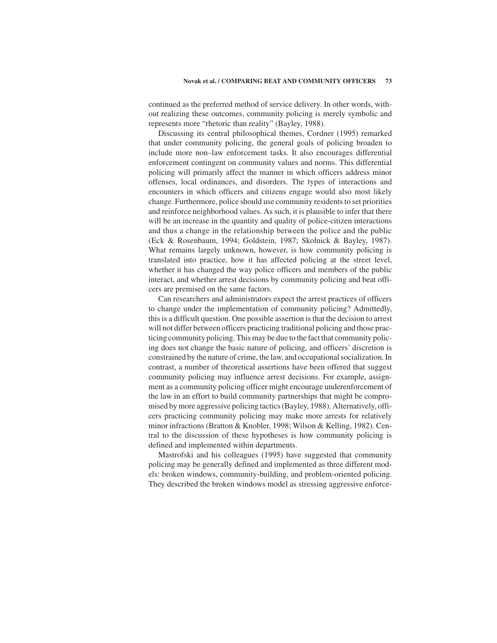continued as the preferred method of service delivery. In other words, without realizing these outcomes, community policing is merely symbolic and represents more "rhetoric than reality" (Bayley, 1988).

Discussing its central philosophical themes, Cordner (1995) remarked that under community policing, the general goals of policing broaden to include more non–law enforcement tasks. It also encourages differential enforcement contingent on community values and norms. This differential policing will primarily affect the manner in which officers address minor offenses, local ordinances, and disorders. The types of interactions and encounters in which officers and citizens engage would also most likely change. Furthermore, police should use community residents to set priorities and reinforce neighborhood values. As such, it is plausible to infer that there will be an increase in the quantity and quality of police-citizen interactions and thus a change in the relationship between the police and the public (Eck & Rosenbaum, 1994; Goldstein, 1987; Skolnick & Bayley, 1987). What remains largely unknown, however, is how community policing is translated into practice, how it has affected policing at the street level, whether it has changed the way police officers and members of the public interact, and whether arrest decisions by community policing and beat officers are premised on the same factors.

Can researchers and administrators expect the arrest practices of officers to change under the implementation of community policing? Admittedly, this is a difficult question. One possible assertion is that the decision to arrest will not differ between officers practicing traditional policing and those practicing community policing. This may be due to the fact that community policing does not change the basic nature of policing, and officers' discretion is constrained by the nature of crime, the law, and occupational socialization. In contrast, a number of theoretical assertions have been offered that suggest community policing may influence arrest decisions. For example, assignment as a community policing officer might encourage underenforcement of the law in an effort to build community partnerships that might be compromised by more aggressive policing tactics (Bayley, 1988). Alternatively, officers practicing community policing may make more arrests for relatively minor infractions (Bratton & Knobler, 1998; Wilson & Kelling, 1982). Central to the discussion of these hypotheses is how community policing is defined and implemented within departments.

Mastrofski and his colleagues (1995) have suggested that community policing may be generally defined and implemented as three different models: broken windows, community-building, and problem-oriented policing. They described the broken windows model as stressing aggressive enforce-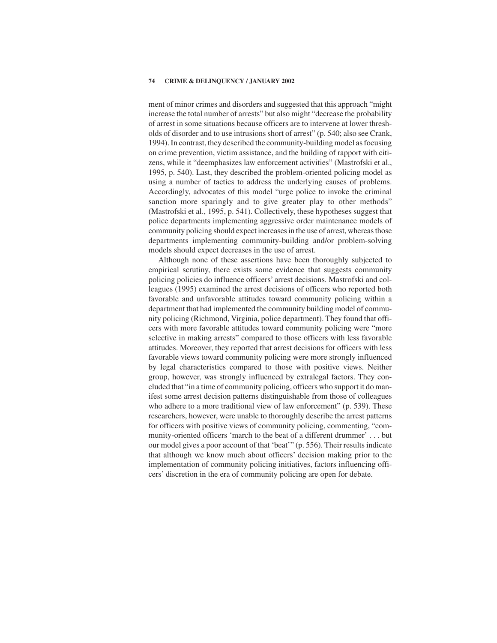ment of minor crimes and disorders and suggested that this approach "might increase the total number of arrests" but also might "decrease the probability of arrest in some situations because officers are to intervene at lower thresholds of disorder and to use intrusions short of arrest" (p. 540; also see Crank, 1994). In contrast, they described the community-building model as focusing on crime prevention, victim assistance, and the building of rapport with citizens, while it "deemphasizes law enforcement activities" (Mastrofski et al., 1995, p. 540). Last, they described the problem-oriented policing model as using a number of tactics to address the underlying causes of problems. Accordingly, advocates of this model "urge police to invoke the criminal sanction more sparingly and to give greater play to other methods" (Mastrofski et al., 1995, p. 541). Collectively, these hypotheses suggest that police departments implementing aggressive order maintenance models of community policing should expect increases in the use of arrest, whereas those departments implementing community-building and/or problem-solving models should expect decreases in the use of arrest.

Although none of these assertions have been thoroughly subjected to empirical scrutiny, there exists some evidence that suggests community policing policies do influence officers' arrest decisions. Mastrofski and colleagues (1995) examined the arrest decisions of officers who reported both favorable and unfavorable attitudes toward community policing within a department that had implemented the community building model of community policing (Richmond, Virginia, police department). They found that officers with more favorable attitudes toward community policing were "more selective in making arrests" compared to those officers with less favorable attitudes. Moreover, they reported that arrest decisions for officers with less favorable views toward community policing were more strongly influenced by legal characteristics compared to those with positive views. Neither group, however, was strongly influenced by extralegal factors. They concluded that "in a time of community policing, officers who support it do manifest some arrest decision patterns distinguishable from those of colleagues who adhere to a more traditional view of law enforcement" (p. 539). These researchers, however, were unable to thoroughly describe the arrest patterns for officers with positive views of community policing, commenting, "community-oriented officers 'march to the beat of a different drummer' . . . but our model gives a poor account of that 'beat'" (p. 556). Their results indicate that although we know much about officers' decision making prior to the implementation of community policing initiatives, factors influencing officers' discretion in the era of community policing are open for debate.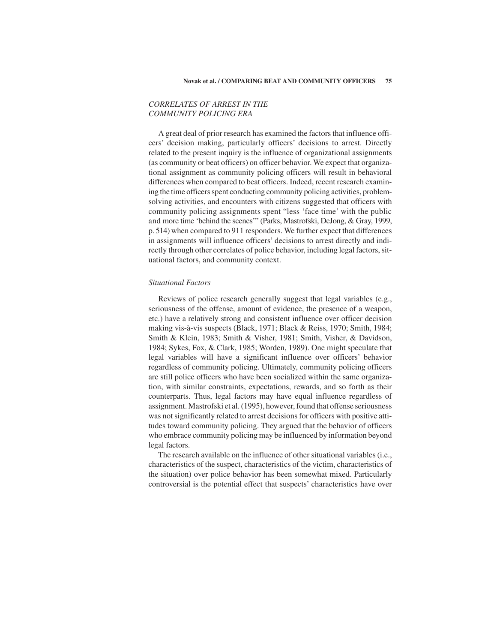# *CORRELATES OF ARREST IN THE COMMUNITY POLICING ERA*

A great deal of prior research has examined the factors that influence officers' decision making, particularly officers' decisions to arrest. Directly related to the present inquiry is the influence of organizational assignments (as community or beat officers) on officer behavior. We expect that organizational assignment as community policing officers will result in behavioral differences when compared to beat officers. Indeed, recent research examining the time officers spent conducting community policing activities, problemsolving activities, and encounters with citizens suggested that officers with community policing assignments spent "less 'face time' with the public and more time 'behind the scenes'" (Parks, Mastrofski, DeJong, & Gray, 1999, p. 514) when compared to 911 responders. We further expect that differences in assignments will influence officers' decisions to arrest directly and indirectly through other correlates of police behavior, including legal factors, situational factors, and community context.

## *Situational Factors*

Reviews of police research generally suggest that legal variables (e.g., seriousness of the offense, amount of evidence, the presence of a weapon, etc.) have a relatively strong and consistent influence over officer decision making vis-à-vis suspects (Black, 1971; Black & Reiss, 1970; Smith, 1984; Smith & Klein, 1983; Smith & Visher, 1981; Smith, Visher, & Davidson, 1984; Sykes, Fox, & Clark, 1985; Worden, 1989). One might speculate that legal variables will have a significant influence over officers' behavior regardless of community policing. Ultimately, community policing officers are still police officers who have been socialized within the same organization, with similar constraints, expectations, rewards, and so forth as their counterparts. Thus, legal factors may have equal influence regardless of assignment. Mastrofski et al. (1995), however, found that offense seriousness was not significantly related to arrest decisions for officers with positive attitudes toward community policing. They argued that the behavior of officers who embrace community policing may be influenced by information beyond legal factors.

The research available on the influence of other situational variables (i.e., characteristics of the suspect, characteristics of the victim, characteristics of the situation) over police behavior has been somewhat mixed. Particularly controversial is the potential effect that suspects' characteristics have over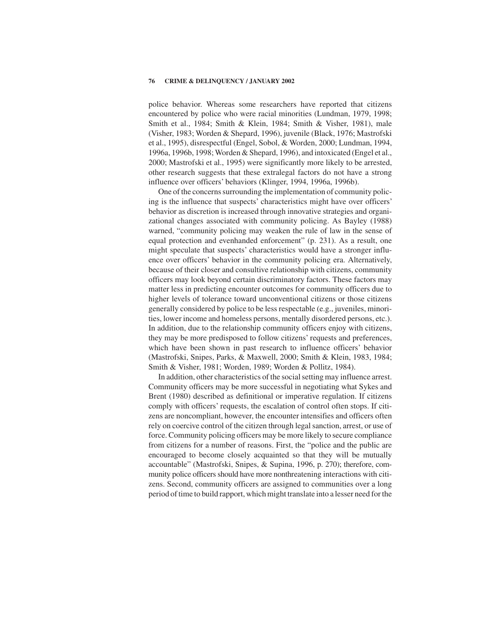police behavior. Whereas some researchers have reported that citizens encountered by police who were racial minorities (Lundman, 1979, 1998; Smith et al., 1984; Smith & Klein, 1984; Smith & Visher, 1981), male (Visher, 1983; Worden & Shepard, 1996), juvenile (Black, 1976; Mastrofski et al., 1995), disrespectful (Engel, Sobol, & Worden, 2000; Lundman, 1994, 1996a, 1996b, 1998; Worden & Shepard, 1996), and intoxicated (Engel et al., 2000; Mastrofski et al., 1995) were significantly more likely to be arrested, other research suggests that these extralegal factors do not have a strong influence over officers' behaviors (Klinger, 1994, 1996a, 1996b).

One of the concerns surrounding the implementation of community policing is the influence that suspects' characteristics might have over officers' behavior as discretion is increased through innovative strategies and organizational changes associated with community policing. As Bayley (1988) warned, "community policing may weaken the rule of law in the sense of equal protection and evenhanded enforcement" (p. 231). As a result, one might speculate that suspects' characteristics would have a stronger influence over officers' behavior in the community policing era. Alternatively, because of their closer and consultive relationship with citizens, community officers may look beyond certain discriminatory factors. These factors may matter less in predicting encounter outcomes for community officers due to higher levels of tolerance toward unconventional citizens or those citizens generally considered by police to be less respectable (e.g., juveniles, minorities, lower income and homeless persons, mentally disordered persons, etc.). In addition, due to the relationship community officers enjoy with citizens, they may be more predisposed to follow citizens' requests and preferences, which have been shown in past research to influence officers' behavior (Mastrofski, Snipes, Parks, & Maxwell, 2000; Smith & Klein, 1983, 1984; Smith & Visher, 1981; Worden, 1989; Worden & Pollitz, 1984).

In addition, other characteristics of the social setting may influence arrest. Community officers may be more successful in negotiating what Sykes and Brent (1980) described as definitional or imperative regulation. If citizens comply with officers' requests, the escalation of control often stops. If citizens are noncompliant, however, the encounter intensifies and officers often rely on coercive control of the citizen through legal sanction, arrest, or use of force. Community policing officers may be more likely to secure compliance from citizens for a number of reasons. First, the "police and the public are encouraged to become closely acquainted so that they will be mutually accountable" (Mastrofski, Snipes, & Supina, 1996, p. 270); therefore, community police officers should have more nonthreatening interactions with citizens. Second, community officers are assigned to communities over a long period of time to build rapport, which might translate into a lesser need for the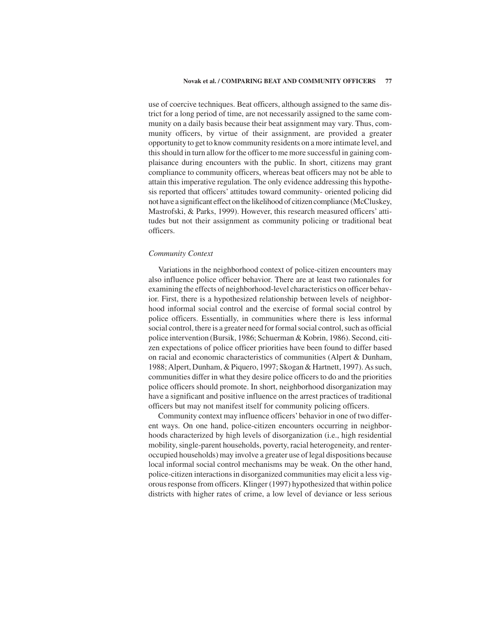### **Novak et al. / COMPARING BEAT AND COMMUNITY OFFICERS 77**

use of coercive techniques. Beat officers, although assigned to the same district for a long period of time, are not necessarily assigned to the same community on a daily basis because their beat assignment may vary. Thus, community officers, by virtue of their assignment, are provided a greater opportunity to get to know community residents on a more intimate level, and this should in turn allow for the officer to me more successful in gaining complaisance during encounters with the public. In short, citizens may grant compliance to community officers, whereas beat officers may not be able to attain this imperative regulation. The only evidence addressing this hypothesis reported that officers' attitudes toward community- oriented policing did not have a significant effect on the likelihood of citizen compliance (McCluskey, Mastrofski, & Parks, 1999). However, this research measured officers' attitudes but not their assignment as community policing or traditional beat officers.

## *Community Context*

Variations in the neighborhood context of police-citizen encounters may also influence police officer behavior. There are at least two rationales for examining the effects of neighborhood-level characteristics on officer behavior. First, there is a hypothesized relationship between levels of neighborhood informal social control and the exercise of formal social control by police officers. Essentially, in communities where there is less informal social control, there is a greater need for formal social control, such as official police intervention (Bursik, 1986; Schuerman & Kobrin, 1986). Second, citizen expectations of police officer priorities have been found to differ based on racial and economic characteristics of communities (Alpert & Dunham, 1988; Alpert, Dunham, & Piquero, 1997; Skogan & Hartnett, 1997). As such, communities differ in what they desire police officers to do and the priorities police officers should promote. In short, neighborhood disorganization may have a significant and positive influence on the arrest practices of traditional officers but may not manifest itself for community policing officers.

Community context may influence officers'behavior in one of two different ways. On one hand, police-citizen encounters occurring in neighborhoods characterized by high levels of disorganization (i.e., high residential mobility, single-parent households, poverty, racial heterogeneity, and renteroccupied households) may involve a greater use of legal dispositions because local informal social control mechanisms may be weak. On the other hand, police-citizen interactions in disorganized communities may elicit a less vigorous response from officers. Klinger (1997) hypothesized that within police districts with higher rates of crime, a low level of deviance or less serious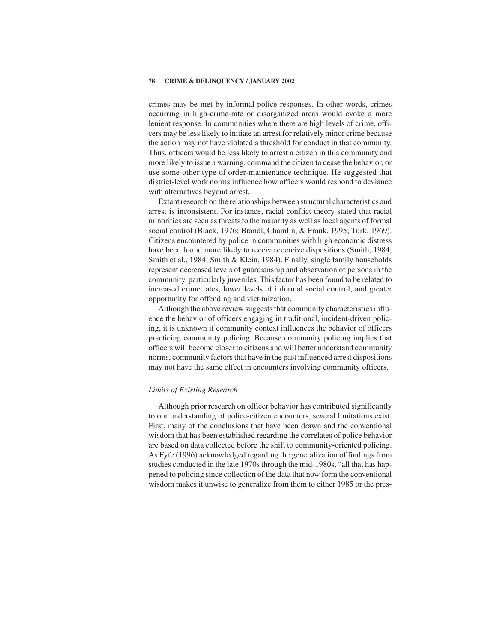crimes may be met by informal police responses. In other words, crimes occurring in high-crime-rate or disorganized areas would evoke a more lenient response. In communities where there are high levels of crime, officers may be less likely to initiate an arrest for relatively minor crime because the action may not have violated a threshold for conduct in that community. Thus, officers would be less likely to arrest a citizen in this community and more likely to issue a warning, command the citizen to cease the behavior, or use some other type of order-maintenance technique. He suggested that district-level work norms influence how officers would respond to deviance with alternatives beyond arrest.

Extant research on the relationships between structural characteristics and arrest is inconsistent. For instance, racial conflict theory stated that racial minorities are seen as threats to the majority as well as local agents of formal social control (Black, 1976; Brandl, Chamlin, & Frank, 1995; Turk, 1969). Citizens encountered by police in communities with high economic distress have been found more likely to receive coercive dispositions (Smith, 1984; Smith et al., 1984; Smith & Klein, 1984). Finally, single family households represent decreased levels of guardianship and observation of persons in the community, particularly juveniles. This factor has been found to be related to increased crime rates, lower levels of informal social control, and greater opportunity for offending and victimization.

Although the above review suggests that community characteristics influence the behavior of officers engaging in traditional, incident-driven policing, it is unknown if community context influences the behavior of officers practicing community policing. Because community policing implies that officers will become closer to citizens and will better understand community norms, community factors that have in the past influenced arrest dispositions may not have the same effect in encounters involving community officers.

# *Limits of Existing Research*

Although prior research on officer behavior has contributed significantly to our understanding of police-citizen encounters, several limitations exist. First, many of the conclusions that have been drawn and the conventional wisdom that has been established regarding the correlates of police behavior are based on data collected before the shift to community-oriented policing. As Fyfe (1996) acknowledged regarding the generalization of findings from studies conducted in the late 1970s through the mid-1980s, "all that has happened to policing since collection of the data that now form the conventional wisdom makes it unwise to generalize from them to either 1985 or the pres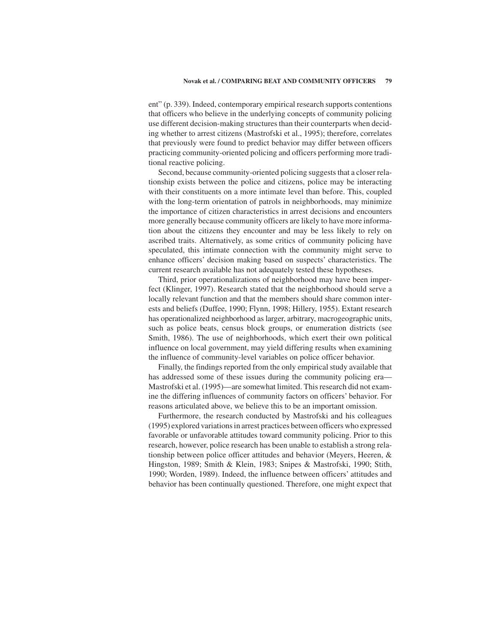ent" (p. 339). Indeed, contemporary empirical research supports contentions that officers who believe in the underlying concepts of community policing use different decision-making structures than their counterparts when deciding whether to arrest citizens (Mastrofski et al., 1995); therefore, correlates that previously were found to predict behavior may differ between officers practicing community-oriented policing and officers performing more traditional reactive policing.

Second, because community-oriented policing suggests that a closer relationship exists between the police and citizens, police may be interacting with their constituents on a more intimate level than before. This, coupled with the long-term orientation of patrols in neighborhoods, may minimize the importance of citizen characteristics in arrest decisions and encounters more generally because community officers are likely to have more information about the citizens they encounter and may be less likely to rely on ascribed traits. Alternatively, as some critics of community policing have speculated, this intimate connection with the community might serve to enhance officers' decision making based on suspects' characteristics. The current research available has not adequately tested these hypotheses.

Third, prior operationalizations of neighborhood may have been imperfect (Klinger, 1997). Research stated that the neighborhood should serve a locally relevant function and that the members should share common interests and beliefs (Duffee, 1990; Flynn, 1998; Hillery, 1955). Extant research has operationalized neighborhood as larger, arbitrary, macrogeographic units, such as police beats, census block groups, or enumeration districts (see Smith, 1986). The use of neighborhoods, which exert their own political influence on local government, may yield differing results when examining the influence of community-level variables on police officer behavior.

Finally, the findings reported from the only empirical study available that has addressed some of these issues during the community policing era— Mastrofski et al. (1995)—are somewhat limited. This research did not examine the differing influences of community factors on officers' behavior. For reasons articulated above, we believe this to be an important omission.

Furthermore, the research conducted by Mastrofski and his colleagues (1995) explored variations in arrest practices between officers who expressed favorable or unfavorable attitudes toward community policing. Prior to this research, however, police research has been unable to establish a strong relationship between police officer attitudes and behavior (Meyers, Heeren, & Hingston, 1989; Smith & Klein, 1983; Snipes & Mastrofski, 1990; Stith, 1990; Worden, 1989). Indeed, the influence between officers' attitudes and behavior has been continually questioned. Therefore, one might expect that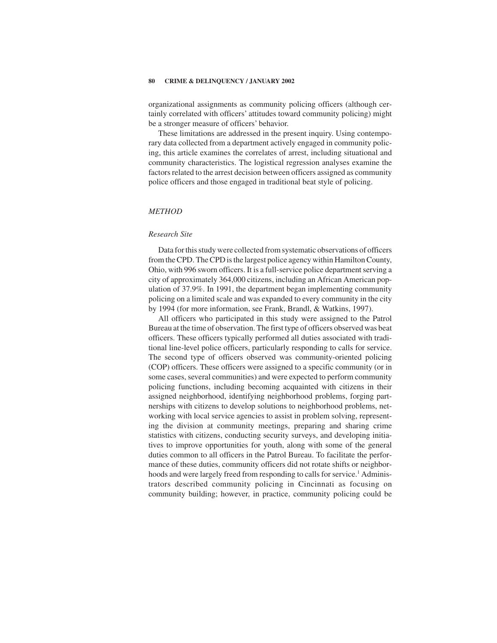organizational assignments as community policing officers (although certainly correlated with officers' attitudes toward community policing) might be a stronger measure of officers' behavior.

These limitations are addressed in the present inquiry. Using contemporary data collected from a department actively engaged in community policing, this article examines the correlates of arrest, including situational and community characteristics. The logistical regression analyses examine the factors related to the arrest decision between officers assigned as community police officers and those engaged in traditional beat style of policing.

## *METHOD*

# *Research Site*

Data for this study were collected from systematic observations of officers from the CPD. The CPD is the largest police agency within Hamilton County, Ohio, with 996 sworn officers. It is a full-service police department serving a city of approximately 364,000 citizens, including an African American population of 37.9%. In 1991, the department began implementing community policing on a limited scale and was expanded to every community in the city by 1994 (for more information, see Frank, Brandl, & Watkins, 1997).

All officers who participated in this study were assigned to the Patrol Bureau at the time of observation. The first type of officers observed was beat officers. These officers typically performed all duties associated with traditional line-level police officers, particularly responding to calls for service. The second type of officers observed was community-oriented policing (COP) officers. These officers were assigned to a specific community (or in some cases, several communities) and were expected to perform community policing functions, including becoming acquainted with citizens in their assigned neighborhood, identifying neighborhood problems, forging partnerships with citizens to develop solutions to neighborhood problems, networking with local service agencies to assist in problem solving, representing the division at community meetings, preparing and sharing crime statistics with citizens, conducting security surveys, and developing initiatives to improve opportunities for youth, along with some of the general duties common to all officers in the Patrol Bureau. To facilitate the performance of these duties, community officers did not rotate shifts or neighborhoods and were largely freed from responding to calls for service.<sup>1</sup> Administrators described community policing in Cincinnati as focusing on community building; however, in practice, community policing could be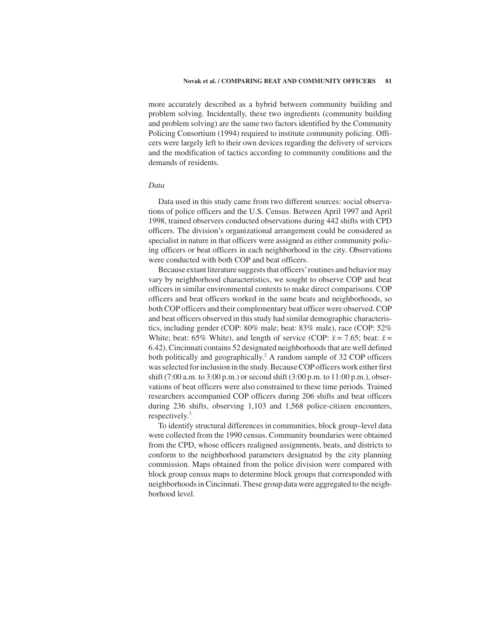more accurately described as a hybrid between community building and problem solving. Incidentally, these two ingredients (community building and problem solving) are the same two factors identified by the Community Policing Consortium (1994) required to institute community policing. Officers were largely left to their own devices regarding the delivery of services and the modification of tactics according to community conditions and the demands of residents.

# *Data*

Data used in this study came from two different sources: social observations of police officers and the U.S. Census. Between April 1997 and April 1998, trained observers conducted observations during 442 shifts with CPD officers. The division's organizational arrangement could be considered as specialist in nature in that officers were assigned as either community policing officers or beat officers in each neighborhood in the city. Observations were conducted with both COP and beat officers.

Because extant literature suggests that officers'routines and behavior may vary by neighborhood characteristics, we sought to observe COP and beat officers in similar environmental contexts to make direct comparisons. COP officers and beat officers worked in the same beats and neighborhoods, so both COP officers and their complementary beat officer were observed. COP and beat officers observed in this study had similar demographic characteristics, including gender (COP: 80% male; beat: 83% male), race (COP: 52% White; beat: 65% White), and length of service (COP:  $\bar{x} = 7.65$ ; beat:  $\bar{x} =$ 6.42). Cincinnati contains 52 designated neighborhoods that are well defined both politically and geographically.<sup>2</sup> A random sample of 32 COP officers was selected for inclusion in the study. Because COP officers work either first shift (7:00 a.m. to 3:00 p.m.) or second shift (3:00 p.m. to 11:00 p.m.), observations of beat officers were also constrained to these time periods. Trained researchers accompanied COP officers during 206 shifts and beat officers during 236 shifts, observing 1,103 and 1,568 police-citizen encounters, respectively.<sup>3</sup>

To identify structural differences in communities, block group–level data were collected from the 1990 census. Community boundaries were obtained from the CPD, whose officers realigned assignments, beats, and districts to conform to the neighborhood parameters designated by the city planning commission. Maps obtained from the police division were compared with block group census maps to determine block groups that corresponded with neighborhoods in Cincinnati. These group data were aggregated to the neighborhood level.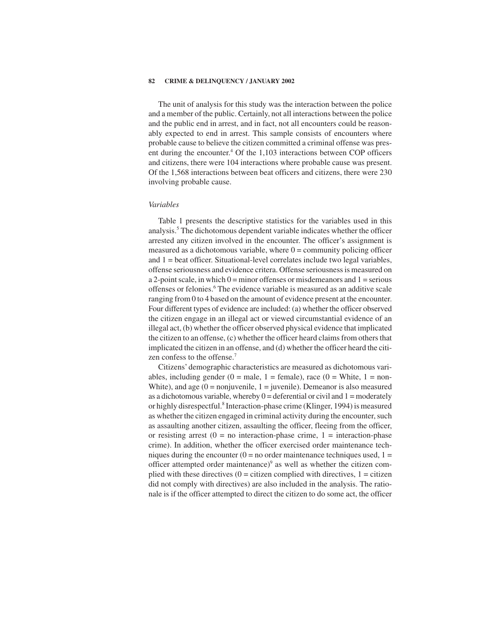The unit of analysis for this study was the interaction between the police and a member of the public. Certainly, not all interactions between the police and the public end in arrest, and in fact, not all encounters could be reasonably expected to end in arrest. This sample consists of encounters where probable cause to believe the citizen committed a criminal offense was present during the encounter.<sup>4</sup> Of the 1,103 interactions between COP officers and citizens, there were 104 interactions where probable cause was present. Of the 1,568 interactions between beat officers and citizens, there were 230 involving probable cause.

### *Variables*

Table 1 presents the descriptive statistics for the variables used in this analysis.<sup>5</sup> The dichotomous dependent variable indicates whether the officer arrested any citizen involved in the encounter. The officer's assignment is measured as a dichotomous variable, where  $0 =$  community policing officer and  $1 =$  beat officer. Situational-level correlates include two legal variables, offense seriousness and evidence critera. Offense seriousness is measured on a 2-point scale, in which  $0 =$  minor offenses or misdemeanors and  $1 =$  serious offenses or felonies.6 The evidence variable is measured as an additive scale ranging from 0 to 4 based on the amount of evidence present at the encounter. Four different types of evidence are included: (a) whether the officer observed the citizen engage in an illegal act or viewed circumstantial evidence of an illegal act, (b) whether the officer observed physical evidence that implicated the citizen to an offense, (c) whether the officer heard claims from others that implicated the citizen in an offense, and (d) whether the officer heard the citizen confess to the offense.<sup>7</sup>

Citizens' demographic characteristics are measured as dichotomous variables, including gender (0 = male, 1 = female), race (0 = White, 1 = non-White), and age  $(0 = nonjuvenile, 1 = juvenile)$ . Demeanor is also measured as a dichotomous variable, whereby  $0 =$  deferential or civil and  $1 =$  moderately or highly disrespectful.<sup>8</sup> Interaction-phase crime (Klinger, 1994) is measured as whether the citizen engaged in criminal activity during the encounter, such as assaulting another citizen, assaulting the officer, fleeing from the officer, or resisting arrest  $(0 = no interaction-phase crime, 1 = interaction-phase$ crime). In addition, whether the officer exercised order maintenance techniques during the encounter ( $0 =$  no order maintenance techniques used,  $1 =$ officer attempted order maintenance) $9$  as well as whether the citizen complied with these directives  $(0 = \text{citizen combined with directives}, 1 = \text{citizen})$ did not comply with directives) are also included in the analysis. The rationale is if the officer attempted to direct the citizen to do some act, the officer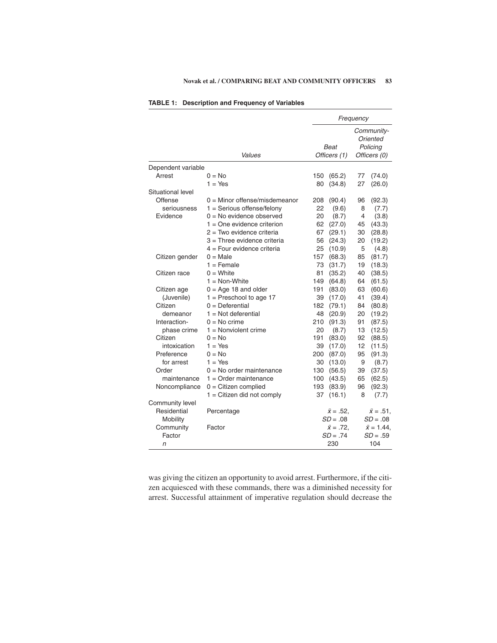|                    |                                 |            | Frequency            |                                                    |                   |  |  |
|--------------------|---------------------------------|------------|----------------------|----------------------------------------------------|-------------------|--|--|
|                    | Values                          |            | Beat<br>Officers (1) | Community-<br>Oriented<br>Policing<br>Officers (0) |                   |  |  |
| Dependent variable |                                 |            |                      |                                                    |                   |  |  |
| Arrest             | $0 = No$                        | 150        | (65.2)               | 77                                                 | (74.0)            |  |  |
|                    | $1 = Yes$                       | 80         | (34.8)               | 27                                                 | (26.0)            |  |  |
| Situational level  |                                 |            |                      |                                                    |                   |  |  |
| Offense            | $0 =$ Minor offense/misdemeanor | 208        | (90.4)               | 96                                                 | (92.3)            |  |  |
| seriousness        | $1 =$ Serious offense/felony    | 22         | (9.6)                | 8                                                  | (7.7)             |  |  |
| Evidence           | $0 = No$ evidence observed      | 20         | (8.7)                | 4                                                  | (3.8)             |  |  |
|                    | $1 =$ One evidence criterion    | 62         | (27.0)               | 45                                                 | (43.3)            |  |  |
|                    | $2 = Two$ evidence criteria     | 67         | (29.1)               | 30                                                 | (28.8)            |  |  |
|                    | 3 = Three evidence criteria     | 56         | (24.3)               | 20                                                 | (19.2)            |  |  |
|                    | $4 =$ Four evidence criteria    | 25         | (10.9)               | 5                                                  | (4.8)             |  |  |
| Citizen gender     | $0 = Male$                      | 157        | (68.3)               | 85                                                 | (81.7)            |  |  |
|                    | $1 =$ Female                    | 73         | (31.7)               | 19                                                 | (18.3)            |  |  |
| Citizen race       | $0 =$ White                     | 81         | (35.2)               | 40                                                 | (38.5)            |  |  |
|                    | $1 = \text{Non-White}$          | 149        | (64.8)               | 64                                                 | (61.5)            |  |  |
| Citizen age        | $0 = Age 18$ and older          | 191        | (83.0)               | 63                                                 | (60.6)            |  |  |
| (Juvenile)         | $1 =$ Preschool to age 17       | 39         | (17.0)               | 41                                                 | (39.4)            |  |  |
| Citizen            | $0 =$ Deferential               | 182        | (79.1)               | 84                                                 | (80.8)            |  |  |
| demeanor           | $1 = Not$ deferential           | 48         | (20.9)               | 20                                                 | (19.2)            |  |  |
| Interaction-       | $0 = No$ crime                  | 210        | (91.3)               | 91                                                 | (87.5)            |  |  |
| phase crime        | $1 =$ Nonviolent crime          | 20         | (8.7)                | 13                                                 | (12.5)            |  |  |
| Citizen            | $0 = No$                        | 191        | (83.0)               | 92                                                 | (88.5)            |  |  |
| intoxication       | $1 = Yes$                       | 39         | (17.0)               | 12                                                 | (11.5)            |  |  |
| Preference         | $0 = No$                        | 200        | (87.0)               | 95                                                 | (91.3)            |  |  |
| for arrest         | $1 = Yes$                       | 30         | (13.0)               | 9                                                  | (8.7)             |  |  |
| Order              | $0 = No$ order maintenance      | 130        | (56.5)               | 39                                                 | (37.5)            |  |  |
| maintenance        | $1 =$ Order maintenance         | 100        | (43.5)               | 65                                                 | (62.5)            |  |  |
| Noncompliance      | $0 =$ Citizen complied          | 193        | (83.9)               | 96                                                 | (92.3)            |  |  |
|                    | $1 =$ Citizen did not comply    | 37         | (16.1)               | 8                                                  | (7.7)             |  |  |
| Community level    |                                 |            |                      |                                                    |                   |  |  |
| Residential        | Percentage                      |            | $\bar{x} = .52.$     |                                                    | $\bar{x} = .51$ . |  |  |
| Mobility           |                                 | $SD = .08$ |                      | $SD = .08$                                         |                   |  |  |
| Community          | Factor                          |            | $\bar{x} = .72$ .    | $\bar{x}$ = 1.44,                                  |                   |  |  |
| Factor             |                                 |            | $SD = .74$           | $SD = .59$                                         |                   |  |  |
| n                  |                                 |            | 230                  |                                                    | 104               |  |  |

was giving the citizen an opportunity to avoid arrest. Furthermore, if the citizen acquiesced with these commands, there was a diminished necessity for arrest. Successful attainment of imperative regulation should decrease the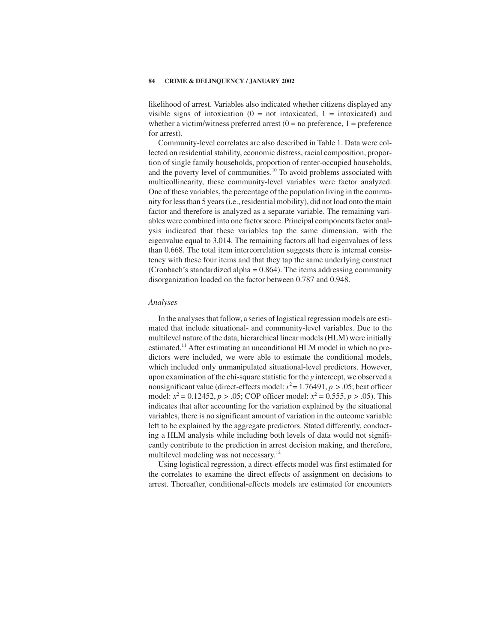likelihood of arrest. Variables also indicated whether citizens displayed any visible signs of intoxication  $(0 = not\;intoxide, 1 = intoxicated)$  and whether a victim/witness preferred arrest  $(0 = no$  preference,  $1 = preference$ for arrest).

Community-level correlates are also described in Table 1. Data were collected on residential stability, economic distress, racial composition, proportion of single family households, proportion of renter-occupied households, and the poverty level of communities.<sup>10</sup> To avoid problems associated with multicollinearity, these community-level variables were factor analyzed. One of these variables, the percentage of the population living in the community for less than 5years (i.e., residential mobility), did not load onto the main factor and therefore is analyzed as a separate variable. The remaining variables were combined into one factor score. Principal components factor analysis indicated that these variables tap the same dimension, with the eigenvalue equal to 3.014. The remaining factors all had eigenvalues of less than 0.668. The total item intercorrelation suggests there is internal consistency with these four items and that they tap the same underlying construct (Cronbach's standardized alpha  $= 0.864$ ). The items addressing community disorganization loaded on the factor between 0.787 and 0.948.

# *Analyses*

In the analyses that follow, a series of logistical regression models are estimated that include situational- and community-level variables. Due to the multilevel nature of the data, hierarchical linear models (HLM) were initially estimated.11 After estimating an unconditional HLM model in which no predictors were included, we were able to estimate the conditional models, which included only unmanipulated situational-level predictors. However, upon examination of the chi-square statistic for the *y* intercept, we observed a nonsignificant value (direct-effects model:  $x^2 = 1.76491$ ,  $p > .05$ ; beat officer model:  $x^2 = 0.12452$ ,  $p > 0.05$ ; COP officer model:  $x^2 = 0.555$ ,  $p > 0.05$ ). This indicates that after accounting for the variation explained by the situational variables, there is no significant amount of variation in the outcome variable left to be explained by the aggregate predictors. Stated differently, conducting a HLM analysis while including both levels of data would not significantly contribute to the prediction in arrest decision making, and therefore, multilevel modeling was not necessary.<sup>12</sup>

Using logistical regression, a direct-effects model was first estimated for the correlates to examine the direct effects of assignment on decisions to arrest. Thereafter, conditional-effects models are estimated for encounters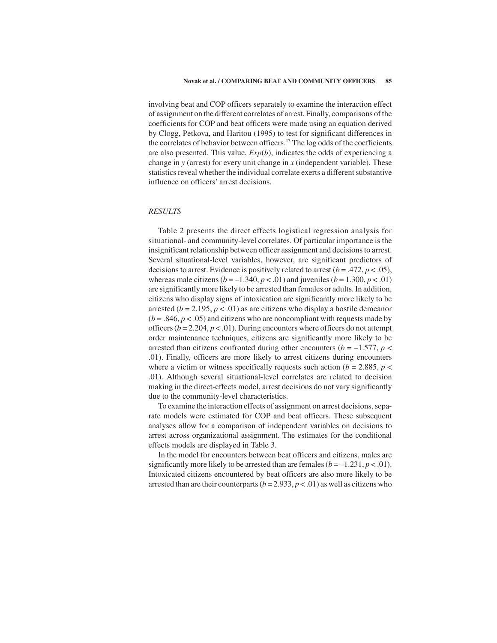involving beat and COP officers separately to examine the interaction effect of assignment on the different correlates of arrest. Finally, comparisons of the coefficients for COP and beat officers were made using an equation derived by Clogg, Petkova, and Haritou (1995) to test for significant differences in the correlates of behavior between officers.13 The log odds of the coefficients are also presented. This value, *Exp*(*b*), indicates the odds of experiencing a change in *y* (arrest) for every unit change in *x* (independent variable). These statistics reveal whether the individual correlate exerts a different substantive influence on officers' arrest decisions.

# *RESULTS*

Table 2 presents the direct effects logistical regression analysis for situational- and community-level correlates. Of particular importance is the insignificant relationship between officer assignment and decisions to arrest. Several situational-level variables, however, are significant predictors of decisions to arrest. Evidence is positively related to arrest  $(b = .472, p < .05)$ , whereas male citizens  $(b = -1.340, p < .01)$  and juveniles  $(b = 1.300, p < .01)$ are significantly more likely to be arrested than females or adults. In addition, citizens who display signs of intoxication are significantly more likely to be arrested ( $b = 2.195$ ,  $p < .01$ ) as are citizens who display a hostile demeanor  $(b = .846, p < .05)$  and citizens who are noncompliant with requests made by officers ( $b = 2.204$ ,  $p < .01$ ). During encounters where officers do not attempt order maintenance techniques, citizens are significantly more likely to be arrested than citizens confronted during other encounters ( $b = -1.577$ ,  $p <$ .01). Finally, officers are more likely to arrest citizens during encounters where a victim or witness specifically requests such action ( $b = 2.885$ ,  $p <$ .01). Although several situational-level correlates are related to decision making in the direct-effects model, arrest decisions do not vary significantly due to the community-level characteristics.

To examine the interaction effects of assignment on arrest decisions, separate models were estimated for COP and beat officers. These subsequent analyses allow for a comparison of independent variables on decisions to arrest across organizational assignment. The estimates for the conditional effects models are displayed in Table 3.

In the model for encounters between beat officers and citizens, males are significantly more likely to be arrested than are females  $(b = -1.231, p < .01)$ . Intoxicated citizens encountered by beat officers are also more likely to be arrested than are their counterparts  $(b = 2.933, p < .01)$  as well as citizens who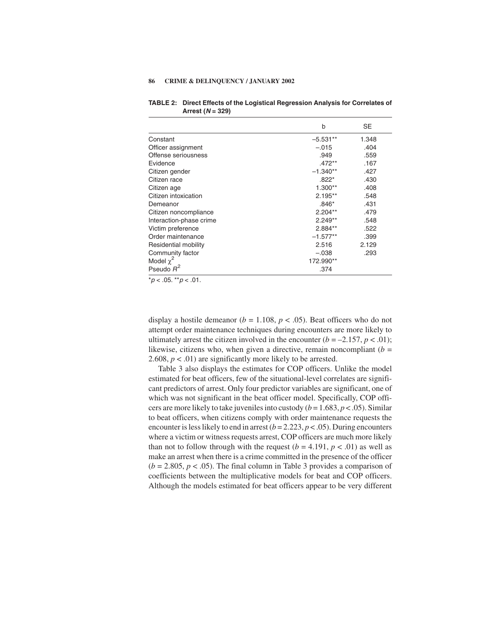|                         | b          | SE    |
|-------------------------|------------|-------|
| Constant                | $-5.531**$ | 1.348 |
| Officer assignment      | $-.015$    | .404  |
| Offense seriousness     | .949       | .559  |
| Evidence                | $.472**$   | .167  |
| Citizen gender          | $-1.340**$ | .427  |
| Citizen race            | $.822*$    | .430  |
| Citizen age             | $1.300**$  | .408  |
| Citizen intoxication    | $2.195**$  | .548  |
| Demeanor                | $.846*$    | .431  |
| Citizen noncompliance   | $2.204**$  | .479  |
| Interaction-phase crime | $2.249**$  | .548  |
| Victim preference       | $2.884**$  | .522  |
| Order maintenance       | $-1.577**$ | .399  |
| Residential mobility    | 2.516      | 2.129 |
| Community factor        | $-.038$    | .293  |
| Model $\chi^2$          | 172.990**  |       |
| Pseudo $R^2$            | .374       |       |

**TABLE 2: Direct Effects of the Logistical Regression Analysis for Correlates of Arrest (N = 329)**

 $*p < .05$ .  $*p < .01$ .

display a hostile demeanor ( $b = 1.108$ ,  $p < .05$ ). Beat officers who do not attempt order maintenance techniques during encounters are more likely to ultimately arrest the citizen involved in the encounter  $(b = -2.157, p < .01)$ ; likewise, citizens who, when given a directive, remain noncompliant  $(b =$ 2.608,  $p < .01$ ) are significantly more likely to be arrested.

Table 3 also displays the estimates for COP officers. Unlike the model estimated for beat officers, few of the situational-level correlates are significant predictors of arrest. Only four predictor variables are significant, one of which was not significant in the beat officer model. Specifically, COP officers are more likely to take juveniles into custody (*b* = 1.683, *p* < .05). Similar to beat officers, when citizens comply with order maintenance requests the encounter is less likely to end in arrest  $(b = 2.223, p < .05)$ . During encounters where a victim or witness requests arrest, COP officers are much more likely than not to follow through with the request  $(b = 4.191, p < .01)$  as well as make an arrest when there is a crime committed in the presence of the officer  $(b = 2.805, p < .05)$ . The final column in Table 3 provides a comparison of coefficients between the multiplicative models for beat and COP officers. Although the models estimated for beat officers appear to be very different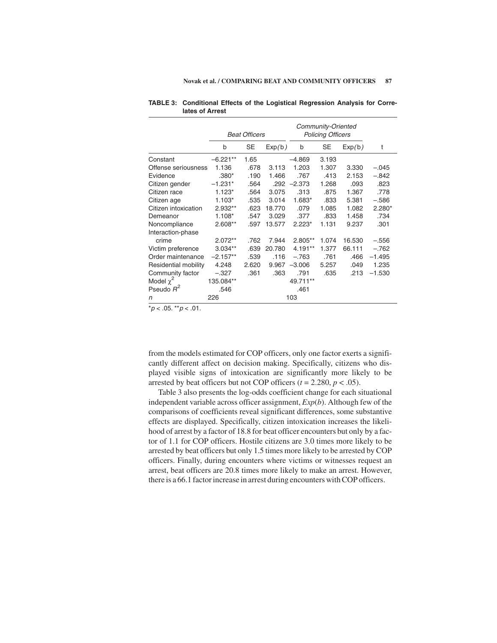|                      | <b>Beat Officers</b> |       |        | Community-Oriented<br><b>Policing Officers</b> |       |        |          |
|----------------------|----------------------|-------|--------|------------------------------------------------|-------|--------|----------|
|                      | b                    | SE    | Exp(b) | b                                              | SE    | Exp(b) | t        |
| Constant             | $-6.221**$           | 1.65  |        | $-4.869$                                       | 3.193 |        |          |
| Offense seriousness  | 1.136                | .678  | 3.113  | 1.203                                          | 1.307 | 3.330  | $-.045$  |
| Evidence             | $.380*$              | .190  | 1.466  | .767                                           | .413  | 2.153  | $-.842$  |
| Citizen gender       | $-1.231*$            | .564  | .292   | $-2.373$                                       | 1.268 | .093   | .823     |
| Citizen race         | $1.123*$             | .564  | 3.075  | .313                                           | .875  | 1.367  | .778     |
| Citizen age          | $1.103*$             | .535  | 3.014  | 1.683*                                         | .833  | 5.381  | $-.586$  |
| Citizen intoxication | 2.932**              | .623  | 18.770 | .079                                           | 1.085 | 1.082  | $2.280*$ |
| Demeanor             | $1.108*$             | .547  | 3.029  | .377                                           | .833  | 1.458  | .734     |
| Noncompliance        | 2.608**              | .597  | 13.577 | $2.223*$                                       | 1.131 | 9.237  | .301     |
| Interaction-phase    |                      |       |        |                                                |       |        |          |
| crime                | $2.072**$            | .762  | 7.944  | 2.805**                                        | 1.074 | 16.530 | $-.556$  |
| Victim preference    | $3.034**$            | .639  | 20.780 | $4.191**$                                      | 1.377 | 66.111 | $-.762$  |
| Order maintenance    | $-2.157**$           | .539  | .116   | $-.763$                                        | .761  | .466   | $-1.495$ |
| Residential mobility | 4.248                | 2.620 | 9.967  | $-3.006$                                       | 5.257 | .049   | 1.235    |
| Community factor     | $-.327$              | .361  | .363   | .791                                           | .635  | .213   | $-1.530$ |
| Model $\chi^2$       | 135.084**            |       |        | 49.711**                                       |       |        |          |
| Pseudo $R^2$         | .546                 |       |        | .461                                           |       |        |          |
| n                    | 226                  |       |        | 103                                            |       |        |          |

| TABLE 3: Conditional Effects of the Logistical Regression Analysis for Corre- |  |  |  |  |
|-------------------------------------------------------------------------------|--|--|--|--|
| lates of Arrest                                                               |  |  |  |  |

 $p < .05.$  \*\*  $p < .01.$ 

from the models estimated for COP officers, only one factor exerts a significantly different affect on decision making. Specifically, citizens who displayed visible signs of intoxication are significantly more likely to be arrested by beat officers but not COP officers  $(t = 2.280, p < .05)$ .

Table 3 also presents the log-odds coefficient change for each situational independent variable across officer assignment, *Exp*(*b*). Although few of the comparisons of coefficients reveal significant differences, some substantive effects are displayed. Specifically, citizen intoxication increases the likelihood of arrest by a factor of 18.8 for beat officer encounters but only by a factor of 1.1 for COP officers. Hostile citizens are 3.0 times more likely to be arrested by beat officers but only 1.5 times more likely to be arrested by COP officers. Finally, during encounters where victims or witnesses request an arrest, beat officers are 20.8 times more likely to make an arrest. However, there is a 66.1 factor increase in arrest during encounters with COP officers.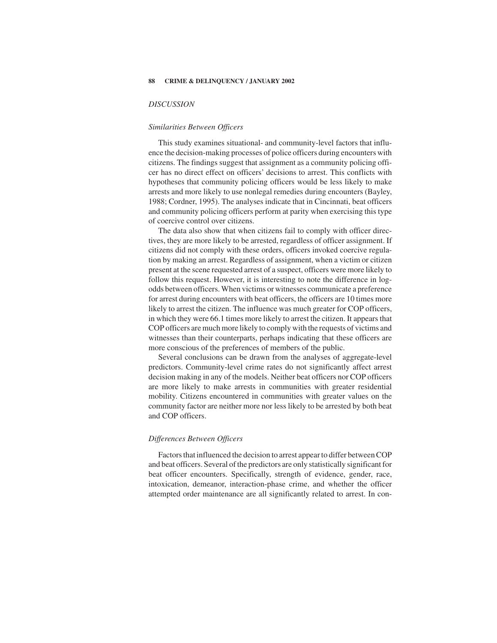## *DISCUSSION*

# *Similarities Between Officers*

This study examines situational- and community-level factors that influence the decision-making processes of police officers during encounters with citizens. The findings suggest that assignment as a community policing officer has no direct effect on officers' decisions to arrest. This conflicts with hypotheses that community policing officers would be less likely to make arrests and more likely to use nonlegal remedies during encounters (Bayley, 1988; Cordner, 1995). The analyses indicate that in Cincinnati, beat officers and community policing officers perform at parity when exercising this type of coercive control over citizens.

The data also show that when citizens fail to comply with officer directives, they are more likely to be arrested, regardless of officer assignment. If citizens did not comply with these orders, officers invoked coercive regulation by making an arrest. Regardless of assignment, when a victim or citizen present at the scene requested arrest of a suspect, officers were more likely to follow this request. However, it is interesting to note the difference in logodds between officers. When victims or witnesses communicate a preference for arrest during encounters with beat officers, the officers are 10 times more likely to arrest the citizen. The influence was much greater for COP officers, in which they were 66.1 times more likely to arrest the citizen. It appears that COP officers are much more likely to comply with the requests of victims and witnesses than their counterparts, perhaps indicating that these officers are more conscious of the preferences of members of the public.

Several conclusions can be drawn from the analyses of aggregate-level predictors. Community-level crime rates do not significantly affect arrest decision making in any of the models. Neither beat officers nor COP officers are more likely to make arrests in communities with greater residential mobility. Citizens encountered in communities with greater values on the community factor are neither more nor less likely to be arrested by both beat and COP officers.

# *Differences Between Officers*

Factors that influenced the decision to arrest appear to differ between COP and beat officers. Several of the predictors are only statistically significant for beat officer encounters. Specifically, strength of evidence, gender, race, intoxication, demeanor, interaction-phase crime, and whether the officer attempted order maintenance are all significantly related to arrest. In con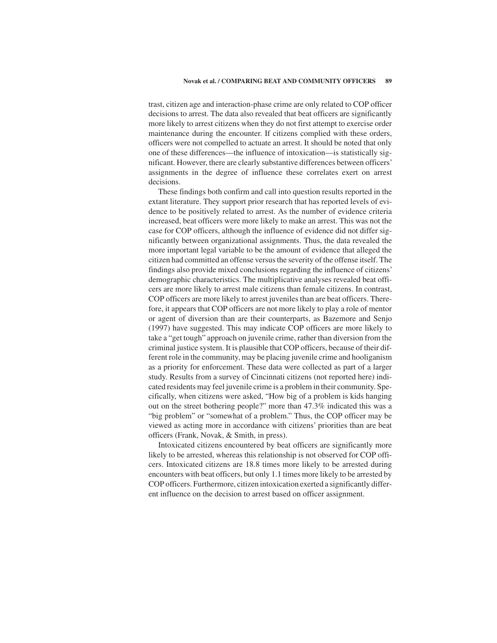trast, citizen age and interaction-phase crime are only related to COP officer decisions to arrest. The data also revealed that beat officers are significantly more likely to arrest citizens when they do not first attempt to exercise order maintenance during the encounter. If citizens complied with these orders, officers were not compelled to actuate an arrest. It should be noted that only one of these differences—the influence of intoxication—is statistically significant. However, there are clearly substantive differences between officers' assignments in the degree of influence these correlates exert on arrest decisions.

These findings both confirm and call into question results reported in the extant literature. They support prior research that has reported levels of evidence to be positively related to arrest. As the number of evidence criteria increased, beat officers were more likely to make an arrest. This was not the case for COP officers, although the influence of evidence did not differ significantly between organizational assignments. Thus, the data revealed the more important legal variable to be the amount of evidence that alleged the citizen had committed an offense versus the severity of the offense itself. The findings also provide mixed conclusions regarding the influence of citizens' demographic characteristics. The multiplicative analyses revealed beat officers are more likely to arrest male citizens than female citizens. In contrast, COP officers are more likely to arrest juveniles than are beat officers. Therefore, it appears that COP officers are not more likely to play a role of mentor or agent of diversion than are their counterparts, as Bazemore and Senjo (1997) have suggested. This may indicate COP officers are more likely to take a "get tough" approach on juvenile crime, rather than diversion from the criminal justice system. It is plausible that COP officers, because of their different role in the community, may be placing juvenile crime and hooliganism as a priority for enforcement. These data were collected as part of a larger study. Results from a survey of Cincinnati citizens (not reported here) indicated residents may feel juvenile crime is a problem in their community. Specifically, when citizens were asked, "How big of a problem is kids hanging out on the street bothering people?" more than 47.3% indicated this was a "big problem" or "somewhat of a problem." Thus, the COP officer may be viewed as acting more in accordance with citizens' priorities than are beat officers (Frank, Novak, & Smith, in press).

Intoxicated citizens encountered by beat officers are significantly more likely to be arrested, whereas this relationship is not observed for COP officers. Intoxicated citizens are 18.8 times more likely to be arrested during encounters with beat officers, but only 1.1 times more likely to be arrested by COP officers. Furthermore, citizen intoxication exerted a significantly different influence on the decision to arrest based on officer assignment.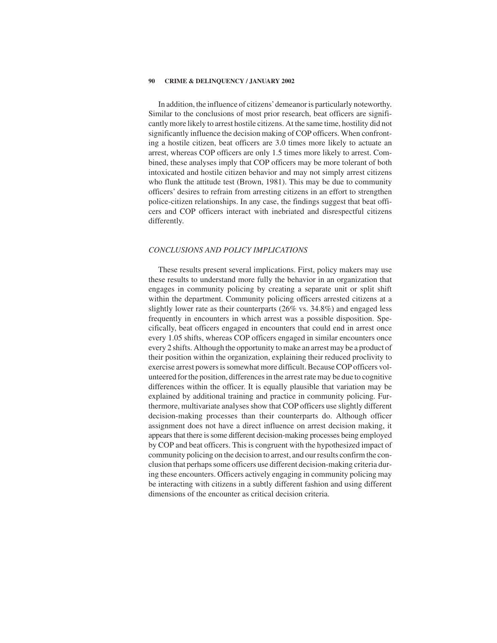In addition, the influence of citizens'demeanor is particularly noteworthy. Similar to the conclusions of most prior research, beat officers are significantly more likely to arrest hostile citizens. At the same time, hostility did not significantly influence the decision making of COP officers. When confronting a hostile citizen, beat officers are 3.0 times more likely to actuate an arrest, whereas COP officers are only 1.5times more likely to arrest. Combined, these analyses imply that COP officers may be more tolerant of both intoxicated and hostile citizen behavior and may not simply arrest citizens who flunk the attitude test (Brown, 1981). This may be due to community officers' desires to refrain from arresting citizens in an effort to strengthen police-citizen relationships. In any case, the findings suggest that beat officers and COP officers interact with inebriated and disrespectful citizens differently.

# *CONCLUSIONS AND POLICY IMPLICATIONS*

These results present several implications. First, policy makers may use these results to understand more fully the behavior in an organization that engages in community policing by creating a separate unit or split shift within the department. Community policing officers arrested citizens at a slightly lower rate as their counterparts (26% vs. 34.8%) and engaged less frequently in encounters in which arrest was a possible disposition. Specifically, beat officers engaged in encounters that could end in arrest once every 1.05 shifts, whereas COP officers engaged in similar encounters once every 2 shifts. Although the opportunity to make an arrest may be a product of their position within the organization, explaining their reduced proclivity to exercise arrest powers is somewhat more difficult. Because COP officers volunteered for the position, differences in the arrest rate may be due to cognitive differences within the officer. It is equally plausible that variation may be explained by additional training and practice in community policing. Furthermore, multivariate analyses show that COP officers use slightly different decision-making processes than their counterparts do. Although officer assignment does not have a direct influence on arrest decision making, it appears that there is some different decision-making processes being employed by COP and beat officers. This is congruent with the hypothesized impact of community policing on the decision to arrest, and our results confirm the conclusion that perhaps some officers use different decision-making criteria during these encounters. Officers actively engaging in community policing may be interacting with citizens in a subtly different fashion and using different dimensions of the encounter as critical decision criteria.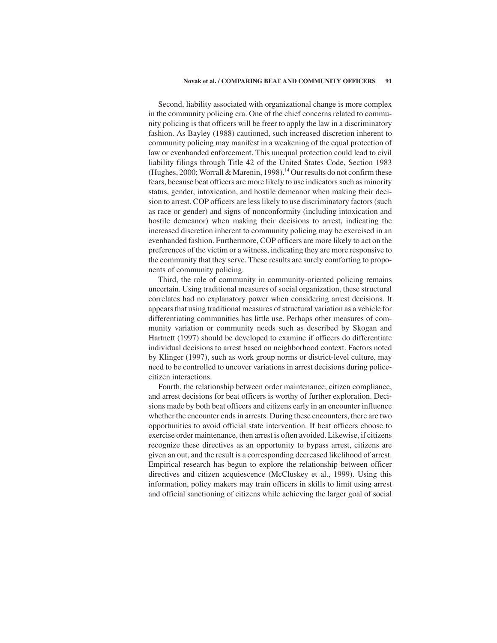### **Novak et al. / COMPARING BEAT AND COMMUNITY OFFICERS 91**

Second, liability associated with organizational change is more complex in the community policing era. One of the chief concerns related to community policing is that officers will be freer to apply the law in a discriminatory fashion. As Bayley (1988) cautioned, such increased discretion inherent to community policing may manifest in a weakening of the equal protection of law or evenhanded enforcement. This unequal protection could lead to civil liability filings through Title 42 of the United States Code, Section 1983 (Hughes, 2000; Worrall & Marenin, 1998).<sup>14</sup> Our results do not confirm these fears, because beat officers are more likely to use indicators such as minority status, gender, intoxication, and hostile demeanor when making their decision to arrest. COP officers are less likely to use discriminatory factors (such as race or gender) and signs of nonconformity (including intoxication and hostile demeanor) when making their decisions to arrest, indicating the increased discretion inherent to community policing may be exercised in an evenhanded fashion. Furthermore, COP officers are more likely to act on the preferences of the victim or a witness, indicating they are more responsive to the community that they serve. These results are surely comforting to proponents of community policing.

Third, the role of community in community-oriented policing remains uncertain. Using traditional measures of social organization, these structural correlates had no explanatory power when considering arrest decisions. It appears that using traditional measures of structural variation as a vehicle for differentiating communities has little use. Perhaps other measures of community variation or community needs such as described by Skogan and Hartnett (1997) should be developed to examine if officers do differentiate individual decisions to arrest based on neighborhood context. Factors noted by Klinger (1997), such as work group norms or district-level culture, may need to be controlled to uncover variations in arrest decisions during policecitizen interactions.

Fourth, the relationship between order maintenance, citizen compliance, and arrest decisions for beat officers is worthy of further exploration. Decisions made by both beat officers and citizens early in an encounter influence whether the encounter ends in arrests. During these encounters, there are two opportunities to avoid official state intervention. If beat officers choose to exercise order maintenance, then arrest is often avoided. Likewise, if citizens recognize these directives as an opportunity to bypass arrest, citizens are given an out, and the result is a corresponding decreased likelihood of arrest. Empirical research has begun to explore the relationship between officer directives and citizen acquiescence (McCluskey et al., 1999). Using this information, policy makers may train officers in skills to limit using arrest and official sanctioning of citizens while achieving the larger goal of social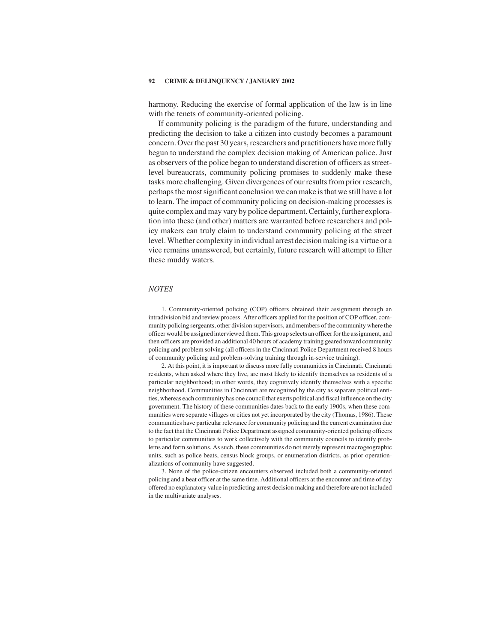harmony. Reducing the exercise of formal application of the law is in line with the tenets of community-oriented policing.

If community policing is the paradigm of the future, understanding and predicting the decision to take a citizen into custody becomes a paramount concern. Over the past 30 years, researchers and practitioners have more fully begun to understand the complex decision making of American police. Just as observers of the police began to understand discretion of officers as streetlevel bureaucrats, community policing promises to suddenly make these tasks more challenging. Given divergences of our results from prior research, perhaps the most significant conclusion we can make is that we still have a lot to learn. The impact of community policing on decision-making processes is quite complex and may vary by police department. Certainly, further exploration into these (and other) matters are warranted before researchers and policy makers can truly claim to understand community policing at the street level. Whether complexity in individual arrest decision making is a virtue or a vice remains unanswered, but certainly, future research will attempt to filter these muddy waters.

### *NOTES*

1. Community-oriented policing (COP) officers obtained their assignment through an intradivision bid and review process. After officers applied for the position of COP officer, community policing sergeants, other division supervisors, and members of the community where the officer would be assigned interviewed them. This group selects an officer for the assignment, and then officers are provided an additional 40 hours of academy training geared toward community policing and problem solving (all officers in the Cincinnati Police Department received 8 hours of community policing and problem-solving training through in-service training).

2. At this point, it is important to discuss more fully communities in Cincinnati. Cincinnati residents, when asked where they live, are most likely to identify themselves as residents of a particular neighborhood; in other words, they cognitively identify themselves with a specific neighborhood. Communities in Cincinnati are recognized by the city as separate political entities, whereas each community has one council that exerts political and fiscal influence on the city government. The history of these communities dates back to the early 1900s, when these communities were separate villages or cities not yet incorporated by the city (Thomas, 1986). These communities have particular relevance for community policing and the current examination due to the fact that the Cincinnati Police Department assigned community-oriented policing officers to particular communities to work collectively with the community councils to identify problems and form solutions. As such, these communities do not merely represent macrogeographic units, such as police beats, census block groups, or enumeration districts, as prior operationalizations of community have suggested.

3. None of the police-citizen encounters observed included both a community-oriented policing and a beat officer at the same time. Additional officers at the encounter and time of day offered no explanatory value in predicting arrest decision making and therefore are not included in the multivariate analyses.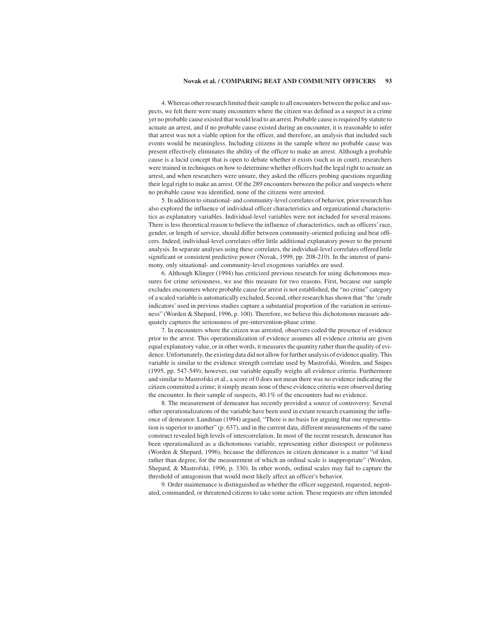## **Novak et al. / COMPARING BEAT AND COMMUNITY OFFICERS 93**

4. Whereas other research limited their sample to all encounters between the police and suspects, we felt there were many encounters where the citizen was defined as a suspect in a crime yet no probable cause existed that would lead to an arrest. Probable cause is required by statute to actuate an arrest, and if no probable cause existed during an encounter, it is reasonable to infer that arrest was not a viable option for the officer, and therefore, an analysis that included such events would be meaningless. Including citizens in the sample where no probable cause was present effectively eliminates the ability of the officer to make an arrest. Although a probable cause is a lucid concept that is open to debate whether it exists (such as in court), researchers were trained in techniques on how to determine whether officers had the legal right to actuate an arrest, and when researchers were unsure, they asked the officers probing questions regarding their legal right to make an arrest. Of the 289 encounters between the police and suspects where no probable cause was identified, none of the citizens were arrested.

5. In addition to situational- and community-level correlates of behavior, prior research has also explored the influence of individual officer characteristics and organizational characteristics as explanatory variables. Individual-level variables were not included for several reasons. There is less theoretical reason to believe the influence of characteristics, such as officers' race, gender, or length of service, should differ between community-oriented policing and beat officers. Indeed, individual-level correlates offer little additional explanatory power to the present analysis. In separate analyses using these correlates, the individual-level correlates offered little significant or consistent predictive power (Novak, 1999, pp. 208-210). In the interest of parsimony, only situational- and community-level exogenous variables are used.

6. Although Klinger (1994) has criticized previous research for using dichotomous measures for crime seriousness, we use this measure for two reasons. First, because our sample excludes encounters where probable cause for arrest is not established, the "no crime" category of a scaled variable is automatically excluded. Second, other research has shown that "the 'crude indicators' used in previous studies capture a substantial proportion of the variation in seriousness" (Worden & Shepard, 1996, p. 100). Therefore, we believe this dichotomous measure adequately captures the seriousness of pre-intervention-phase crime.

7. In encounters where the citizen was arrested, observers coded the presence of evidence prior to the arrest. This operationalization of evidence assumes all evidence criteria are given equal explanatory value, or in other words, it measures the quantity rather than the quality of evidence. Unfortunately, the existing data did not allow for further analysis of evidence quality. This variable is similar to the evidence strength correlate used by Mastrofski, Worden, and Snipes (1995, pp. 547-549); however, our variable equally weighs all evidence criteria. Furthermore and similar to Mastrofski et al., a score of 0 does not mean there was no evidence indicating the citizen committed a crime; it simply means none of these evidence criteria were observed during the encounter. In their sample of suspects, 40.1% of the encounters had no evidence.

8. The measurement of demeanor has recently provided a source of controversy. Several other operationalizations of the variable have been used in extant research examining the influence of demeanor. Lundman (1994) argued, "There is no basis for arguing that one representation is superior to another" (p. 637), and in the current data, different measurements of the same construct revealed high levels of intercorrelation. In most of the recent research, demeanor has been operationalized as a dichotomous variable, representing either disrespect or politeness (Worden & Shepard, 1996), because the differences in citizen demeanor is a matter "of kind rather than degree, for the measurement of which an ordinal scale is inappropriate" (Worden, Shepard, & Mastrofski, 1996, p. 330). In other words, ordinal scales may fail to capture the threshold of antagonism that would most likely affect an officer's behavior.

9. Order maintenance is distinguished as whether the officer suggested, requested, negotiated, commanded, or threatened citizens to take some action. These requests are often intended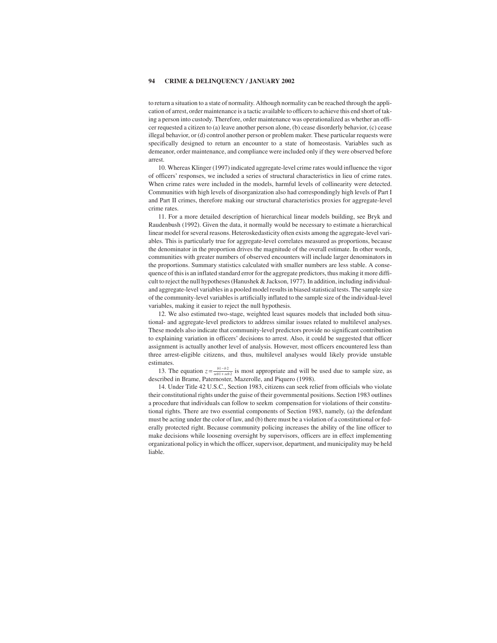to return a situation to a state of normality. Although normality can be reached through the application of arrest, order maintenance is a tactic available to officers to achieve this end short of taking a person into custody. Therefore, order maintenance was operationalized as whether an officer requested a citizen to (a) leave another person alone, (b) cease disorderly behavior, (c) cease illegal behavior, or (d) control another person or problem maker. These particular requests were specifically designed to return an encounter to a state of homeostasis. Variables such as demeanor, order maintenance, and compliance were included only if they were observed before arrest.

10. Whereas Klinger (1997) indicated aggregate-level crime rates would influence the vigor of officers' responses, we included a series of structural characteristics in lieu of crime rates. When crime rates were included in the models, harmful levels of collinearity were detected. Communities with high levels of disorganization also had correspondingly high levels of Part I and Part II crimes, therefore making our structural characteristics proxies for aggregate-level crime rates.

11. For a more detailed description of hierarchical linear models building, see Bryk and Raudenbush (1992). Given the data, it normally would be necessary to estimate a hierarchical linear model for several reasons. Heteroskedasticity often exists among the aggregate-level variables. This is particularly true for aggregate-level correlates measured as proportions, because the denominator in the proportion drives the magnitude of the overall estimate. In other words, communities with greater numbers of observed encounters will include larger denominators in the proportions. Summary statistics calculated with smaller numbers are less stable. A consequence of this is an inflated standard error for the aggregate predictors, thus making it more difficult to reject the null hypotheses (Hanushek & Jackson, 1977). In addition, including individualand aggregate-level variables in a pooled model results in biased statistical tests. The sample size of the community-level variables is artificially inflated to the sample size of the individual-level variables, making it easier to reject the null hypothesis.

12. We also estimated two-stage, weighted least squares models that included both situational- and aggregate-level predictors to address similar issues related to multilevel analyses. These models also indicate that community-level predictors provide no significant contribution to explaining variation in officers' decisions to arrest. Also, it could be suggested that officer assignment is actually another level of analysis. However, most officers encountered less than three arrest-eligible citizens, and thus, multilevel analyses would likely provide unstable estimates.

13. The equation  $z = \frac{b_1 - b_2}{sebt + seb_2}$  is most appropriate and will be used due to sample size, as described in Brame, Paternoster, Mazerolle, and Piquero (1998).

14. Under Title 42 U.S.C., Section 1983, citizens can seek relief from officials who violate their constitutional rights under the guise of their governmental positions. Section 1983 outlines a procedure that individuals can follow to seekm compensation for violations of their constitutional rights. There are two essential components of Section 1983, namely, (a) the defendant must be acting under the color of law, and (b) there must be a violation of a constitutional or federally protected right. Because community policing increases the ability of the line officer to make decisions while loosening oversight by supervisors, officers are in effect implementing organizational policy in which the officer, supervisor, department, and municipality may be held liable.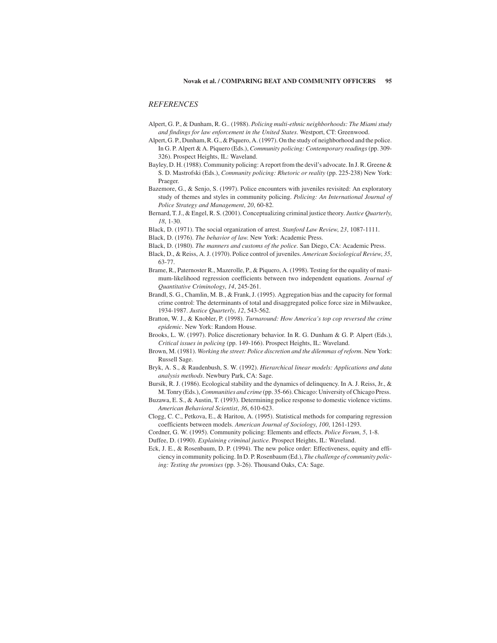# *REFERENCES*

- Alpert, G. P., & Dunham, R. G.. (1988). *Policing multi-ethnic neighborhoods: The Miami study and findings for law enforcement in the United States*. Westport, CT: Greenwood.
- Alpert, G. P., Dunham, R. G., & Piquero, A. (1997). On the study of neighborhood and the police. In G. P. Alpert & A. Piquero (Eds.), *Community policing: Contemporary readings*(pp. 309- 326). Prospect Heights, IL: Waveland.
- Bayley, D. H. (1988). Community policing: A report from the devil's advocate. In J. R. Greene & S. D. Mastrofski (Eds.), *Community policing: Rhetoric or reality* (pp. 225-238) New York: Praeger.
- Bazemore, G., & Senjo, S. (1997). Police encounters with juveniles revisited: An exploratory study of themes and styles in community policing. *Policing: An International Journal of Police Strategy and Management*, *20*, 60-82.
- Bernard, T. J., & Engel, R. S. (2001). Conceptualizing criminal justice theory. *Justice Quarterly*, *18*, 1-30.
- Black, D. (1971). The social organization of arrest. *Stanford Law Review*, *23*, 1087-1111.
- Black, D. (1976). *The behavior of law*. New York: Academic Press.
- Black, D. (1980). *The manners and customs of the police*. San Diego, CA: Academic Press.
- Black, D., & Reiss, A. J. (1970). Police control of juveniles. *American Sociological Review*, *35*, 63-77.
- Brame, R., Paternoster R., Mazerolle, P., & Piquero, A. (1998). Testing for the equality of maximum-likelihood regression coefficients between two independent equations. *Journal of Quantitative Criminology*, *14*, 245-261.
- Brandl, S. G., Chamlin, M. B., & Frank, J. (1995). Aggregation bias and the capacity for formal crime control: The determinants of total and disaggregated police force size in Milwaukee, 1934-1987. *Justice Quarterly*, *12*, 543-562.
- Bratton, W. J., & Knobler, P. (1998). *Turnaround: How America's top cop reversed the crime epidemic*. New York: Random House.
- Brooks, L. W. (1997). Police discretionary behavior. In R. G. Dunham & G. P. Alpert (Eds.), *Critical issues in policing* (pp. 149-166). Prospect Heights, IL: Waveland.
- Brown, M. (1981). *Working the street: Police discretion and the dilemmas of reform*. New York: Russell Sage.
- Bryk, A. S., & Raudenbush, S. W. (1992). *Hierarchical linear models: Applications and data analysis methods*. Newbury Park, CA: Sage.
- Bursik, R. J. (1986). Ecological stability and the dynamics of delinquency. In A. J. Reiss, Jr., & M. Tonry (Eds.), *Communities and crime* (pp. 35-66). Chicago: University of Chicago Press.
- Buzawa, E. S., & Austin, T. (1993). Determining police response to domestic violence victims. *American Behavioral Scientist*, *36*, 610-623.
- Clogg, C. C., Petkova, E., & Haritou, A. (1995). Statistical methods for comparing regression coefficients between models. *American Journal of Sociology*, *100*, 1261-1293.
- Cordner, G. W. (1995). Community policing: Elements and effects. *Police Forum*, *5*, 1-8. Duffee, D. (1990). *Explaining criminal justice*. Prospect Heights, IL: Waveland.
- 
- Eck, J. E., & Rosenbaum, D. P. (1994). The new police order: Effectiveness, equity and efficiency in community policing. In D. P. Rosenbaum (Ed.), *The challenge of community policing: Testing the promises* (pp. 3-26). Thousand Oaks, CA: Sage.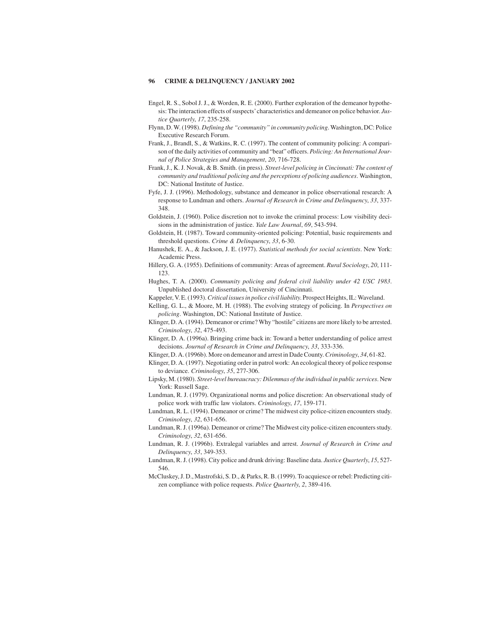- Engel, R. S., Sobol J. J., & Worden, R. E. (2000). Further exploration of the demeanor hypothesis: The interaction effects of suspects'characteristics and demeanor on police behavior. *Justice Quarterly*, *17*, 235-258.
- Flynn, D. W. (1998). *Defining the "community" in community policing*. Washington, DC: Police Executive Research Forum.
- Frank, J., Brandl, S., & Watkins, R. C. (1997). The content of community policing: A comparison of the daily activities of community and "beat" officers. *Policing: An International Journal of Police Strategies and Management*, *20*, 716-728.
- Frank, J., K. J. Novak, & B. Smith. (in press). *Street-level policing in Cincinnati: The content of community and traditional policing and the perceptions of policing audiences*. Washington, DC: National Institute of Justice.
- Fyfe, J. J. (1996). Methodology, substance and demeanor in police observational research: A response to Lundman and others. *Journal of Research in Crime and Delinquency*, 33, 337-348.
- Goldstein, J. (1960). Police discretion not to invoke the criminal process: Low visibility decisions in the administration of justice. *Yale Law Journal*, *69*, 543-594.
- Goldstein, H. (1987). Toward community-oriented policing: Potential, basic requirements and threshold questions. *Crime & Delinquency*, *33*, 6-30.
- Hanushek, E. A., & Jackson, J. E. (1977). *Statistical methods for social scientists*. New York: Academic Press.
- Hillery, G. A. (1955). Definitions of community: Areas of agreement. *Rural Sociology*, *20*, 111- 123.
- Hughes, T. A. (2000). *Community policing and federal civil liability under 42 USC 1983*. Unpublished doctoral dissertation, University of Cincinnati.
- Kappeler, V. E. (1993).*Critical issues in police civil liability*. Prospect Heights, IL: Waveland.
- Kelling, G. L., & Moore, M. H. (1988). The evolving strategy of policing. In *Perspectives on policing*. Washington, DC: National Institute of Justice.
- Klinger, D. A. (1994). Demeanor or crime? Why "hostile" citizens are more likely to be arrested. *Criminology*, *32*, 475-493.
- Klinger, D. A. (1996a). Bringing crime back in: Toward a better understanding of police arrest decisions. *Journal of Research in Crime and Delinquency*, *33*, 333-336.
- Klinger, D. A. (1996b). More on demeanor and arrest in Dade County.*Criminology*, *34*, 61-82.
- Klinger, D. A. (1997). Negotiating order in patrol work: An ecological theory of police response to deviance. *Criminology*, *35*, 277-306.
- Lipsky, M. (1980). *Street-level bureaucracy: Dilemmas of the individual in public services*. New York: Russell Sage.
- Lundman, R. J. (1979). Organizational norms and police discretion: An observational study of police work with traffic law violators. *Criminology*, *17*, 159-171.
- Lundman, R. L. (1994). Demeanor or crime? The midwest city police-citizen encounters study. *Criminology*, *32*, 631-656.
- Lundman, R. J. (1996a). Demeanor or crime? The Midwest city police-citizen encounters study. *Criminology*, *32*, 631-656.
- Lundman, R. J. (1996b). Extralegal variables and arrest. *Journal of Research in Crime and Delinquency*, *33*, 349-353.
- Lundman, R. J. (1998). City police and drunk driving: Baseline data. *Justice Quarterly*, *15*, 527- 546.
- McCluskey, J. D., Mastrofski, S. D., & Parks, R. B. (1999). To acquiesce or rebel: Predicting citizen compliance with police requests. *Police Quarterly*, *2*, 389-416.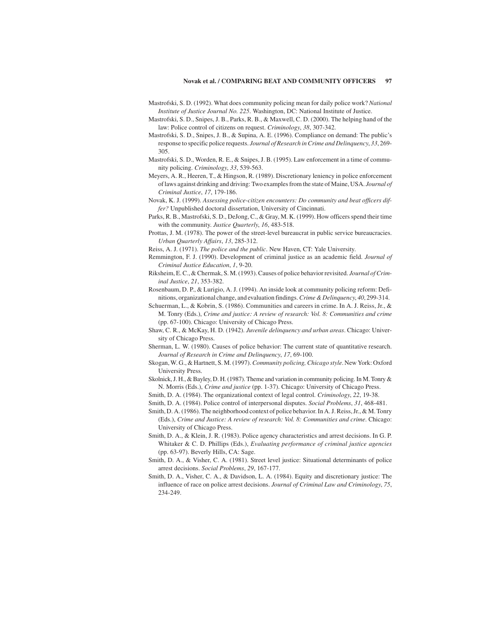- Mastrofski, S. D. (1992). What does community policing mean for daily police work? *National Institute of Justice Journal No. 225*. Washington, DC: National Institute of Justice.
- Mastrofski, S. D., Snipes, J. B., Parks, R. B., & Maxwell, C. D. (2000). The helping hand of the law: Police control of citizens on request. *Criminology*, *38*, 307-342.
- Mastrofski, S. D., Snipes, J. B., & Supina, A. E. (1996). Compliance on demand: The public's response to specific police requests. *Journal of Research in Crime and Delinquency*, 33, 269-305.
- Mastrofski, S. D., Worden, R. E., & Snipes, J. B. (1995). Law enforcement in a time of community policing. *Criminology*, *33*, 539-563.
- Meyers, A. R., Heeren, T., & Hingson, R. (1989). Discretionary leniency in police enforcement of laws against drinking and driving: Two examples from the state of Maine, USA. *Journal of Criminal Justice*, *17*, 179-186.
- Novak, K. J. (1999). Assessing police-citizen encounters: Do community and beat officers dif*fer?* Unpublished doctoral dissertation, University of Cincinnati.
- Parks, R. B., Mastrofski, S. D., DeJong, C., & Gray, M. K. (1999). How officers spend their time with the community. *Justice Quarterly*, *16*, 483-518.
- Prottas, J. M. (1978). The power of the street-level bureaucrat in public service bureaucracies. *Urban Quarterly Affairs*, *13*, 285-312.
- Reiss, A. J. (1971). *The police and the public*. New Haven, CT: Yale University.
- Remmington, F. J. (1990). Development of criminal justice as an academic field. *Journal of Criminal Justice Education*, *1*, 9-20.
- Riksheim, E. C., & Chermak, S. M. (1993). Causes of police behavior revisited. *Journal of Criminal Justice*, *21*, 353-382.
- Rosenbaum, D. P., & Lurigio, A. J. (1994). An inside look at community policing reform: Definitions, organizational change, and evaluation findings.*Crime & Delinquency*, *40*, 299-314.
- Schuerman, L., & Kobrin, S. (1986). Communities and careers in crime. In A. J. Reiss, Jr., & M. Tonry (Eds.), *Crime andjustice: A review of research: Vol. 8: Communities andcrime* (pp. 67-100). Chicago: University of Chicago Press.
- Shaw, C. R., & McKay, H. D. (1942). *Juvenile delinquency and urban areas*. Chicago: University of Chicago Press.
- Sherman, L. W. (1980). Causes of police behavior: The current state of quantitative research. *Journal of Research in Crime and Delinquency*, *17*, 69-100.
- Skogan, W. G., & Hartnett, S. M. (1997).*Community policing, Chicago style*. New York: Oxford University Press.
- Skolnick, J. H., & Bayley, D. H. (1987). Theme and variation in community policing. In M. Tonry & N. Morris (Eds.), *Crime and justice* (pp. 1-37). Chicago: University of Chicago Press.
- Smith, D. A. (1984). The organizational context of legal control. *Criminology*, *22*, 19-38.
- Smith, D. A. (1984). Police control of interpersonal disputes. *Social Problems*, *31*, 468-481.
- Smith, D. A. (1986). The neighborhood context of police behavior. In A. J. Reiss, Jr., & M. Tonry (Eds.), *Crime and Justice: A review of research: Vol. 8: Communities and crime. Chicago:* University of Chicago Press.
- Smith, D. A., & Klein, J. R. (1983). Police agency characteristics and arrest decisions. In G. P. Whitaker & C. D. Phillips (Eds.), *Evaluating performance of criminal justice agencies* (pp. 63-97). Beverly Hills, CA: Sage.
- Smith, D. A., & Visher, C. A. (1981). Street level justice: Situational determinants of police arrest decisions. *Social Problems*, *29*, 167-177.
- Smith, D. A., Visher, C. A., & Davidson, L. A. (1984). Equity and discretionary justice: The influence of race on police arrest decisions. *Journal of Criminal Law and Criminology*, 75, 234-249.